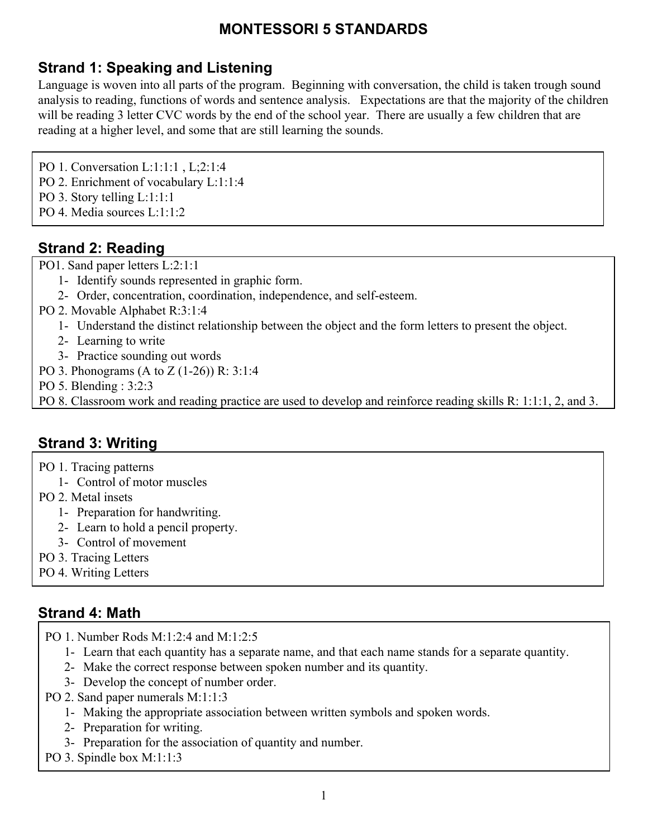# **Strand 1: Speaking and Listening**

Language is woven into all parts of the program. Beginning with conversation, the child is taken trough sound analysis to reading, functions of words and sentence analysis. Expectations are that the majority of the children will be reading 3 letter CVC words by the end of the school year. There are usually a few children that are reading at a higher level, and some that are still learning the sounds.

PO 1. Conversation L:1:1:1 , L;2:1:4

- PO 2. Enrichment of vocabulary L:1:1:4
- PO 3. Story telling L:1:1:1:1
- PO 4. Media sources L:1:1:2

## **Strand 2: Reading**

PO1. Sand paper letters L:2:1:1

- 1- Identify sounds represented in graphic form.
- 2- Order, concentration, coordination, independence, and self-esteem.
- PO 2. Movable Alphabet R:3:1:4
	- 1- Understand the distinct relationship between the object and the form letters to present the object.
	- 2- Learning to write
	- 3- Practice sounding out words
- PO 3. Phonograms (A to Z (1-26)) R: 3:1:4
- PO 5. Blending : 3:2:3
- PO 8. Classroom work and reading practice are used to develop and reinforce reading skills R: 1:1:1, 2, and 3.

## **Strand 3: Writing**

- PO 1. Tracing patterns
	- 1- Control of motor muscles
- PO 2. Metal insets
	- 1- Preparation for handwriting.
	- 2- Learn to hold a pencil property.
	- 3- Control of movement
- PO 3. Tracing Letters
- PO 4. Writing Letters

## **Strand 4: Math**

- PO 1. Number Rods M:1:2:4 and M:1:2:5
	- 1- Learn that each quantity has a separate name, and that each name stands for a separate quantity.
	- 2- Make the correct response between spoken number and its quantity.
	- 3- Develop the concept of number order.
- PO 2. Sand paper numerals M:1:1:3
	- 1- Making the appropriate association between written symbols and spoken words.
	- 2- Preparation for writing.
	- 3- Preparation for the association of quantity and number.
- PO 3. Spindle box M:1:1:3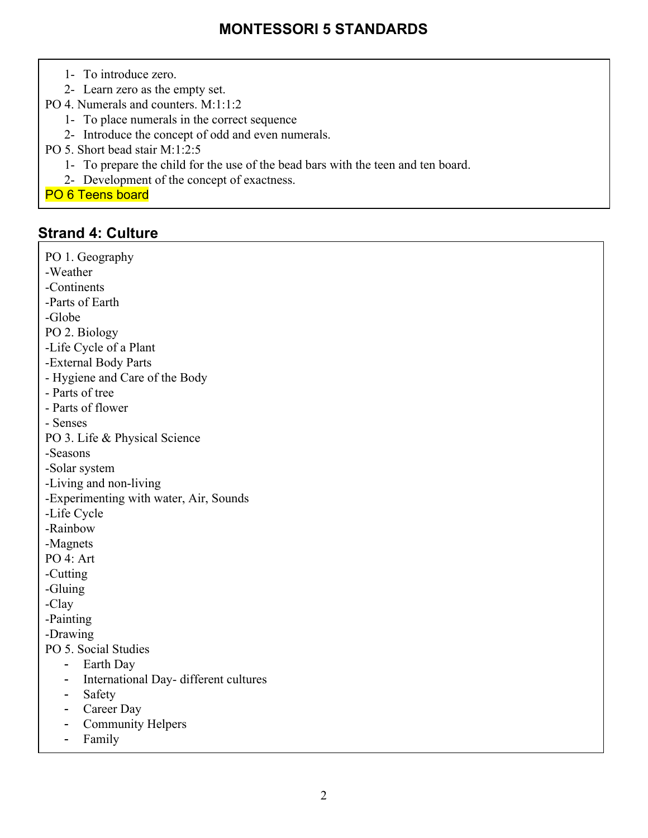- 1- To introduce zero.
- 2- Learn zero as the empty set.
- PO 4. Numerals and counters. M:1:1:2
	- 1- To place numerals in the correct sequence
	- 2- Introduce the concept of odd and even numerals.
- PO 5. Short bead stair M:1:2:5
	- 1- To prepare the child for the use of the bead bars with the teen and ten board.
	- 2- Development of the concept of exactness.
- PO 6 Teens board

#### **Strand 4: Culture**

PO 1. Geography -Weather -Continents -Parts of Earth -Globe PO 2. Biology -Life Cycle of a Plant -External Body Parts - Hygiene and Care of the Body - Parts of tree - Parts of flower - Senses PO 3. Life & Physical Science -Seasons -Solar system -Living and non-living -Experimenting with water, Air, Sounds -Life Cycle -Rainbow -Magnets PO 4: Art -Cutting -Gluing -Clay -Painting -Drawing PO 5. Social Studies - Earth Day - International Day- different cultures - Safety - Career Day - Community Helpers

- Family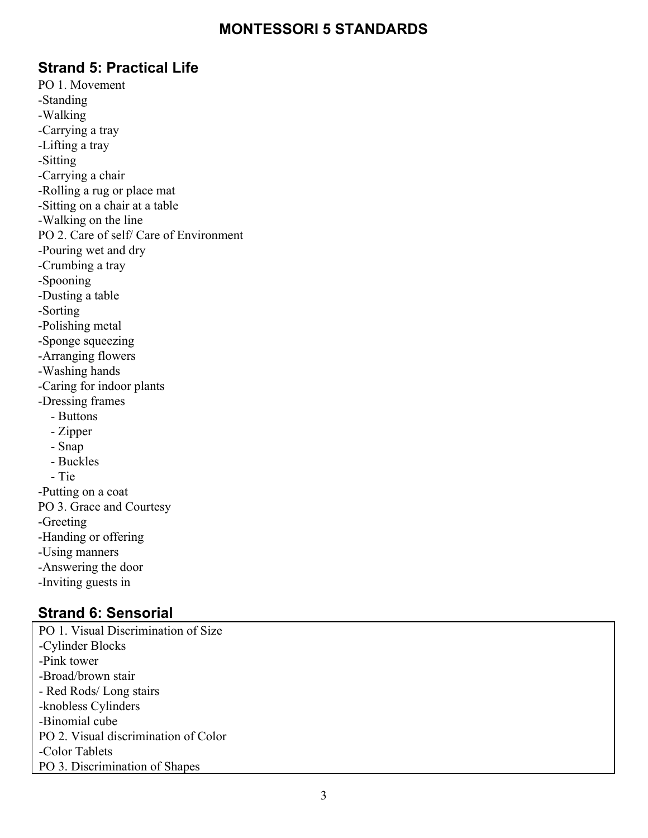### **Strand 5: Practical Life**

PO 1. Movement -Standing -Walking -Carrying a tray -Lifting a tray -Sitting -Carrying a chair -Rolling a rug or place mat -Sitting on a chair at a table -Walking on the line PO 2. Care of self/ Care of Environment -Pouring wet and dry -Crumbing a tray -Spooning -Dusting a table -Sorting -Polishing metal -Sponge squeezing -Arranging flowers -Washing hands -Caring for indoor plants -Dressing frames - Buttons - Zipper - Snap - Buckles - Tie -Putting on a coat PO 3. Grace and Courtesy -Greeting -Handing or offering -Using manners -Answering the door -Inviting guests in

### **Strand 6: Sensorial**

PO 1. Visual Discrimination of Size -Cylinder Blocks -Pink tower -Broad/brown stair - Red Rods/ Long stairs -knobless Cylinders -Binomial cube PO 2. Visual discrimination of Color -Color Tablets PO 3. Discrimination of Shapes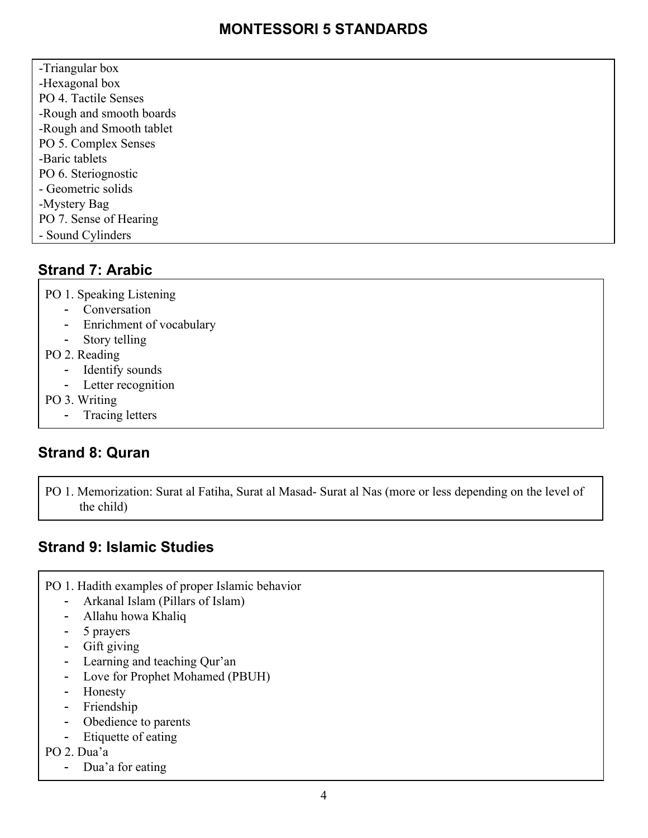-Triangular box -Hexagonal box PO 4. Tactile Senses -Rough and smooth boards -Rough and Smooth tablet PO 5. Complex Senses -Baric tablets PO 6. Steriognostic - Geometric solids -Mystery Bag PO 7. Sense of Hearing - Sound Cylinders

# **Strand 7: Arabic**

PO 1. Speaking Listening

- Conversation
- Enrichment of vocabulary
- Story telling
- PO 2. Reading
	- Identify sounds
	- Letter recognition
- PO 3. Writing
	- Tracing letters

# **Strand 8: Quran**

PO 1. Memorization: Surat al Fatiha, Surat al Masad- Surat al Nas (more or less depending on the level of the child)

# **Strand 9: Islamic Studies**

- PO 1. Hadith examples of proper Islamic behavior
	- Arkanal Islam (Pillars of Islam)
	- Allahu howa Khaliq
	- 5 prayers
	- Gift giving
	- Learning and teaching Qur'an
	- Love for Prophet Mohamed (PBUH)
	- Honesty
	- Friendship
	- Obedience to parents
	- Etiquette of eating
- PO 2. Dua'a
	- Dua'a for eating